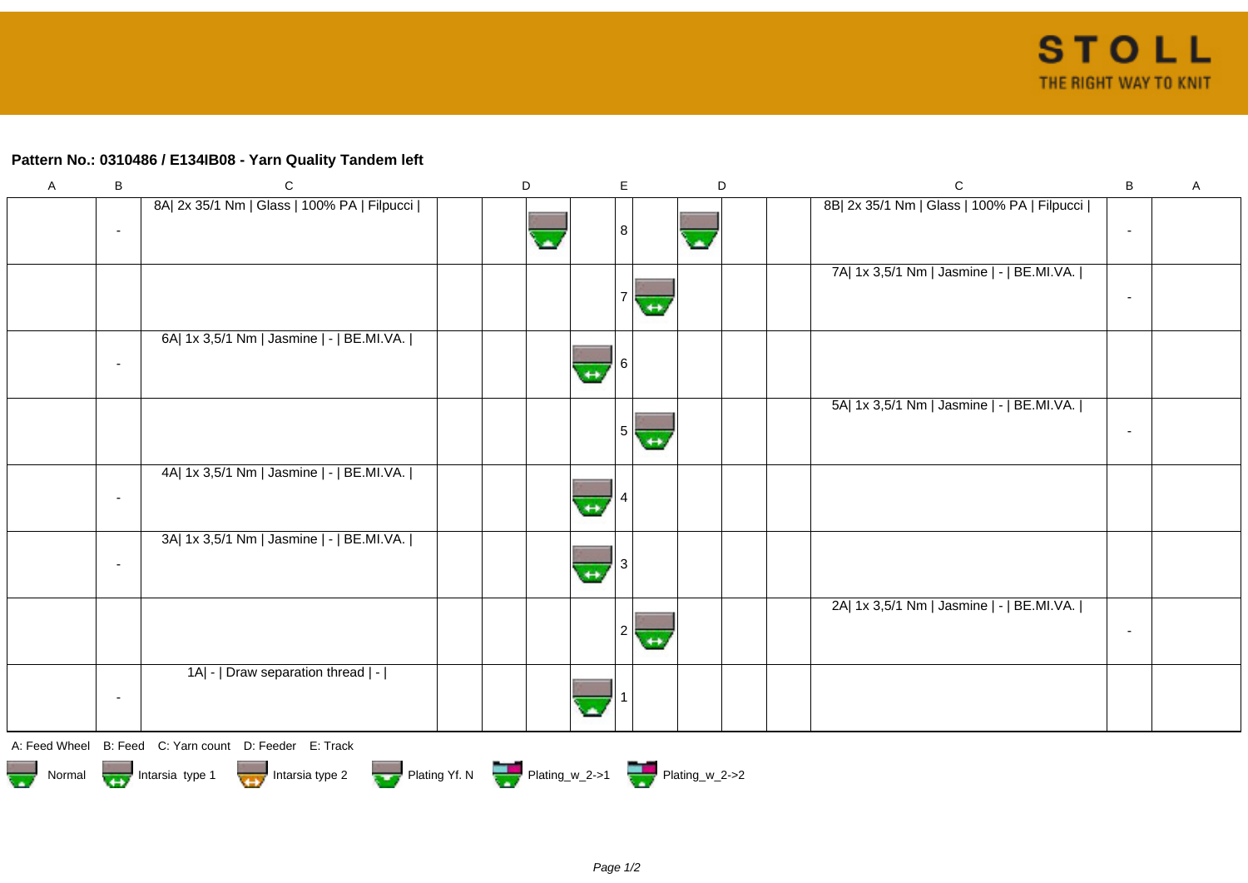## **Pattern No.: 0310486 / E134IB08 - Yarn Quality Tandem left**

| $\mathsf{A}$                                                                                          | В                        | $\mathsf C$                                            | D | $\mathsf E$            |                   | $\mathsf D$ | $\mathbf C$                                 | B                        | $\mathsf{A}$ |  |
|-------------------------------------------------------------------------------------------------------|--------------------------|--------------------------------------------------------|---|------------------------|-------------------|-------------|---------------------------------------------|--------------------------|--------------|--|
|                                                                                                       | $\overline{\phantom{a}}$ | 8A  2x 35/1 Nm   Glass   100% PA   Filpucci            |   | 8                      | w                 |             | 8B  2x 35/1 Nm   Glass   100% PA   Filpucci | $\overline{\phantom{a}}$ |              |  |
|                                                                                                       |                          |                                                        |   |                        |                   |             | 7A  1x 3,5/1 Nm   Jasmine   -   BE.MI.VA.   | $\overline{\phantom{a}}$ |              |  |
|                                                                                                       | $\overline{\phantom{a}}$ | 6A  1x 3,5/1 Nm   Jasmine   -   BE.MI.VA.              |   | $\leftrightarrow$      |                   |             |                                             |                          |              |  |
|                                                                                                       |                          |                                                        |   | 5 <sup>1</sup>         | $+$               |             | 5A  1x 3,5/1 Nm   Jasmine   -   BE.MI.VA.   | $\blacksquare$           |              |  |
|                                                                                                       | $\overline{\phantom{a}}$ | 4A  1x 3,5/1 Nm   Jasmine   -   BE.MI.VA.              |   |                        |                   |             |                                             |                          |              |  |
|                                                                                                       | $\overline{\phantom{a}}$ | 3A  1x 3,5/1 Nm   Jasmine   -   BE.MI.VA.              |   | 3<br>$\leftrightarrow$ |                   |             |                                             |                          |              |  |
|                                                                                                       |                          |                                                        |   | $\overline{2}$         | $\leftrightarrow$ |             | 2A  1x 3,5/1 Nm   Jasmine   -   BE.MI.VA.   | $\blacksquare$           |              |  |
|                                                                                                       | $\overline{\phantom{a}}$ | 1A  -   Draw separation thread   -                     |   |                        |                   |             |                                             |                          |              |  |
|                                                                                                       |                          | A: Feed Wheel B: Feed C: Yarn count D: Feeder E: Track |   |                        |                   |             |                                             |                          |              |  |
| Plating Yf. N Plating_w_2->1 Plating_w_2->2<br>Normal <b>Trans</b> Intarsia type 1<br>Intarsia type 2 |                          |                                                        |   |                        |                   |             |                                             |                          |              |  |